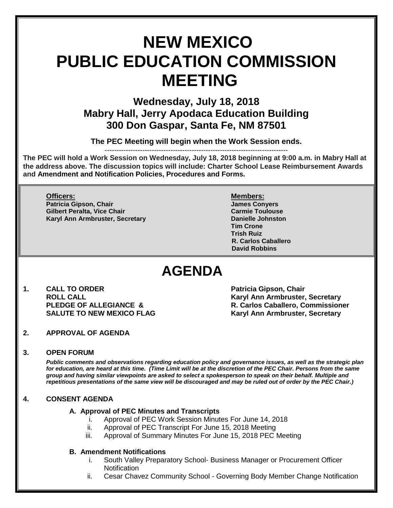# **NEW MEXICO PUBLIC EDUCATION COMMISSION MEETING**

**Wednesday, July 18, 2018 Mabry Hall, Jerry Apodaca Education Building 300 Don Gaspar, Santa Fe, NM 87501**

**The PEC Meeting will begin when the Work Session ends.**

------------------------------------------------------------------------------

**The PEC will hold a Work Session on Wednesday, July 18, 2018 beginning at 9:00 a.m. in Mabry Hall at the address above. The discussion topics will include: Charter School Lease Reimbursement Awards and Amendment and Notification Policies, Procedures and Forms.**

### **Officers: Members:**

**Patricia Gipson, Chair James Conyers Gilbert Peralta, Vice Chair Carmie Toulouse Karyl Ann Armbruster, Secretary <b>Danielle Johnston** 

**Tim Crone Trish Ruiz R. Carlos Caballero David Robbins**

## **AGENDA**

**1. CALL TO ORDER Patricia Gipson, Chair** 

**ROLL CALL Karyl Ann Armbruster, Secretary R. Carlos Caballero, Commissioner SALUTE TO NEW MEXICO FLAG Karyl Ann Armbruster, Secretary**

**2. APPROVAL OF AGENDA**

#### **3. OPEN FORUM**

*Public comments and observations regarding education policy and governance issues, as well as the strategic plan for education, are heard at this time. (Time Limit will be at the discretion of the PEC Chair. Persons from the same group and having similar viewpoints are asked to select a spokesperson to speak on their behalf. Multiple and repetitious presentations of the same view will be discouraged and may be ruled out of order by the PEC Chair.)*

#### **4. CONSENT AGENDA**

#### **A. Approval of PEC Minutes and Transcripts**

- i. Approval of PEC Work Session Minutes For June 14, 2018
- ii. Approval of PEC Transcript For June 15, 2018 Meeting
- iii. Approval of Summary Minutes For June 15, 2018 PEC Meeting

#### **B. Amendment Notifications**

- i. South Valley Preparatory School- Business Manager or Procurement Officer **Notification**
- ii. Cesar Chavez Community School Governing Body Member Change Notification